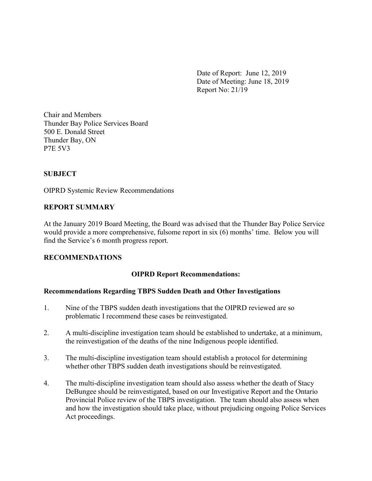Date of Report: June 12, 2019 Date of Meeting: June 18, 2019 Report No: 21/19

Chair and Members Thunder Bay Police Services Board 500 E. Donald Street Thunder Bay, ON P7E 5V3

## **SUBJECT**

OIPRD Systemic Review Recommendations

### REPORT SUMMARY

At the January 2019 Board Meeting, the Board was advised that the Thunder Bay Police Service would provide a more comprehensive, fulsome report in six (6) months' time. Below you will find the Service's 6 month progress report.

### RECOMMENDATIONS

### OIPRD Report Recommendations:

#### Recommendations Regarding TBPS Sudden Death and Other Investigations

- 1. Nine of the TBPS sudden death investigations that the OIPRD reviewed are so problematic I recommend these cases be reinvestigated.
- 2. A multi-discipline investigation team should be established to undertake, at a minimum, the reinvestigation of the deaths of the nine Indigenous people identified.
- 3. The multi-discipline investigation team should establish a protocol for determining whether other TBPS sudden death investigations should be reinvestigated.
- 4. The multi-discipline investigation team should also assess whether the death of Stacy DeBungee should be reinvestigated, based on our Investigative Report and the Ontario Provincial Police review of the TBPS investigation. The team should also assess when and how the investigation should take place, without prejudicing ongoing Police Services Act proceedings.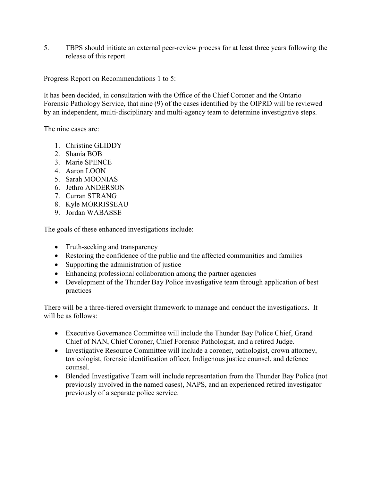5. TBPS should initiate an external peer-review process for at least three years following the release of this report.

## Progress Report on Recommendations 1 to 5:

It has been decided, in consultation with the Office of the Chief Coroner and the Ontario Forensic Pathology Service, that nine (9) of the cases identified by the OIPRD will be reviewed by an independent, multi-disciplinary and multi-agency team to determine investigative steps.

The nine cases are:

- 1. Christine GLIDDY
- 2. Shania BOB
- 3. Marie SPENCE
- 4. Aaron LOON
- 5. Sarah MOONIAS
- 6. Jethro ANDERSON
- 7. Curran STRANG
- 8. Kyle MORRISSEAU
- 9. Jordan WABASSE

The goals of these enhanced investigations include:

- Truth-seeking and transparency
- Restoring the confidence of the public and the affected communities and families
- Supporting the administration of justice
- Enhancing professional collaboration among the partner agencies
- Development of the Thunder Bay Police investigative team through application of best practices

There will be a three-tiered oversight framework to manage and conduct the investigations. It will be as follows:

- Executive Governance Committee will include the Thunder Bay Police Chief, Grand Chief of NAN, Chief Coroner, Chief Forensic Pathologist, and a retired Judge.
- Investigative Resource Committee will include a coroner, pathologist, crown attorney, toxicologist, forensic identification officer, Indigenous justice counsel, and defence counsel.
- Blended Investigative Team will include representation from the Thunder Bay Police (not previously involved in the named cases), NAPS, and an experienced retired investigator previously of a separate police service.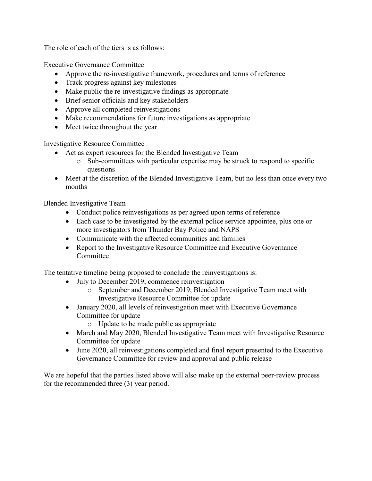The role of each of the tiers is as follows:

Executive Governance Committee

- Approve the re-investigative framework, procedures and terms of reference
- Track progress against key milestones
- Make public the re-investigative findings as appropriate
- Brief senior officials and key stakeholders
- Approve all completed reinvestigations
- Make recommendations for future investigations as appropriate
- Meet twice throughout the year

Investigative Resource Committee

- Act as expert resources for the Blended Investigative Team
	- o Sub-committees with particular expertise may be struck to respond to specific questions
- Meet at the discretion of the Blended Investigative Team, but no less than once every two months

Blended Investigative Team

- Conduct police reinvestigations as per agreed upon terms of reference
- Each case to be investigated by the external police service appointee, plus one or more investigators from Thunder Bay Police and NAPS
- Communicate with the affected communities and families
- Report to the Investigative Resource Committee and Executive Governance Committee

The tentative timeline being proposed to conclude the reinvestigations is:

- July to December 2019, commence reinvestigation
	- o September and December 2019, Blended Investigative Team meet with Investigative Resource Committee for update
- January 2020, all levels of reinvestigation meet with Executive Governance Committee for update
	- o Update to be made public as appropriate
- March and May 2020, Blended Investigative Team meet with Investigative Resource Committee for update
- June 2020, all reinvestigations completed and final report presented to the Executive Governance Committee for review and approval and public release

We are hopeful that the parties listed above will also make up the external peer-review process for the recommended three (3) year period.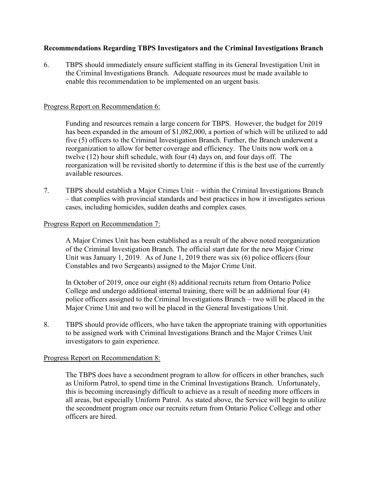## Recommendations Regarding TBPS Investigators and the Criminal Investigations Branch

6. TBPS should immediately ensure sufficient staffing in its General Investigation Unit in the Criminal Investigations Branch. Adequate resources must be made available to enable this recommendation to be implemented on an urgent basis.

#### Progress Report on Recommendation 6:

Funding and resources remain a large concern for TBPS. However, the budget for 2019 has been expanded in the amount of \$1,082,000, a portion of which will be utilized to add five (5) officers to the Criminal Investigation Branch. Further, the Branch underwent a reorganization to allow for better coverage and efficiency. The Units now work on a twelve (12) hour shift schedule, with four (4) days on, and four days off. The reorganization will be revisited shortly to determine if this is the best use of the currently available resources.

7. TBPS should establish a Major Crimes Unit – within the Criminal Investigations Branch – that complies with provincial standards and best practices in how it investigates serious cases, including homicides, sudden deaths and complex cases.

#### Progress Report on Recommendation 7:

A Major Crimes Unit has been established as a result of the above noted reorganization of the Criminal Investigation Branch. The official start date for the new Major Crime Unit was January 1, 2019. As of June 1, 2019 there was six (6) police officers (four Constables and two Sergeants) assigned to the Major Crime Unit.

In October of 2019, once our eight (8) additional recruits return from Ontario Police College and undergo additional internal training, there will be an additional four (4) police officers assigned to the Criminal Investigations Branch – two will be placed in the Major Crime Unit and two will be placed in the General Investigations Unit.

8. TBPS should provide officers, who have taken the appropriate training with opportunities to be assigned work with Criminal Investigations Branch and the Major Crimes Unit investigators to gain experience.

### Progress Report on Recommendation 8:

The TBPS does have a secondment program to allow for officers in other branches, such as Uniform Patrol, to spend time in the Criminal Investigations Branch. Unfortunately, this is becoming increasingly difficult to achieve as a result of needing more officers in all areas, but especially Uniform Patrol. As stated above, the Service will begin to utilize the secondment program once our recruits return from Ontario Police College and other officers are hired.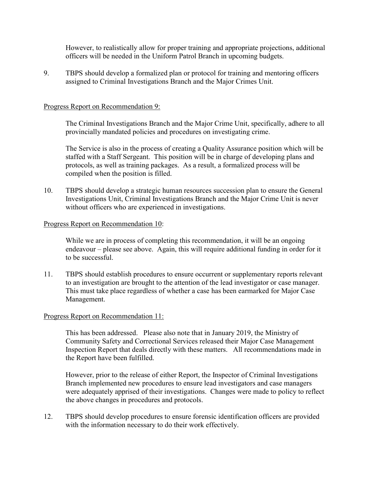However, to realistically allow for proper training and appropriate projections, additional officers will be needed in the Uniform Patrol Branch in upcoming budgets.

9. TBPS should develop a formalized plan or protocol for training and mentoring officers assigned to Criminal Investigations Branch and the Major Crimes Unit.

## Progress Report on Recommendation 9:

 The Criminal Investigations Branch and the Major Crime Unit, specifically, adhere to all provincially mandated policies and procedures on investigating crime.

The Service is also in the process of creating a Quality Assurance position which will be staffed with a Staff Sergeant. This position will be in charge of developing plans and protocols, as well as training packages. As a result, a formalized process will be compiled when the position is filled.

10. TBPS should develop a strategic human resources succession plan to ensure the General Investigations Unit, Criminal Investigations Branch and the Major Crime Unit is never without officers who are experienced in investigations.

### Progress Report on Recommendation 10:

While we are in process of completing this recommendation, it will be an ongoing endeavour – please see above. Again, this will require additional funding in order for it to be successful.

11. TBPS should establish procedures to ensure occurrent or supplementary reports relevant to an investigation are brought to the attention of the lead investigator or case manager. This must take place regardless of whether a case has been earmarked for Major Case Management.

### Progress Report on Recommendation 11:

This has been addressed. Please also note that in January 2019, the Ministry of Community Safety and Correctional Services released their Major Case Management Inspection Report that deals directly with these matters. All recommendations made in the Report have been fulfilled.

However, prior to the release of either Report, the Inspector of Criminal Investigations Branch implemented new procedures to ensure lead investigators and case managers were adequately apprised of their investigations. Changes were made to policy to reflect the above changes in procedures and protocols.

12. TBPS should develop procedures to ensure forensic identification officers are provided with the information necessary to do their work effectively.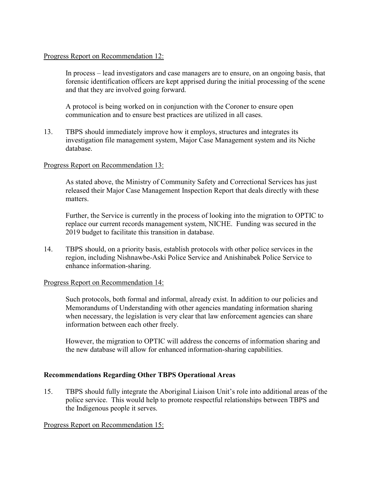## Progress Report on Recommendation 12:

In process – lead investigators and case managers are to ensure, on an ongoing basis, that forensic identification officers are kept apprised during the initial processing of the scene and that they are involved going forward.

A protocol is being worked on in conjunction with the Coroner to ensure open communication and to ensure best practices are utilized in all cases.

13. TBPS should immediately improve how it employs, structures and integrates its investigation file management system, Major Case Management system and its Niche database.

## Progress Report on Recommendation 13:

As stated above, the Ministry of Community Safety and Correctional Services has just released their Major Case Management Inspection Report that deals directly with these matters.

Further, the Service is currently in the process of looking into the migration to OPTIC to replace our current records management system, NICHE. Funding was secured in the 2019 budget to facilitate this transition in database.

14. TBPS should, on a priority basis, establish protocols with other police services in the region, including Nishnawbe-Aski Police Service and Anishinabek Police Service to enhance information-sharing.

### Progress Report on Recommendation 14:

Such protocols, both formal and informal, already exist. In addition to our policies and Memorandums of Understanding with other agencies mandating information sharing when necessary, the legislation is very clear that law enforcement agencies can share information between each other freely.

However, the migration to OPTIC will address the concerns of information sharing and the new database will allow for enhanced information-sharing capabilities.

# Recommendations Regarding Other TBPS Operational Areas

15. TBPS should fully integrate the Aboriginal Liaison Unit's role into additional areas of the police service. This would help to promote respectful relationships between TBPS and the Indigenous people it serves.

### Progress Report on Recommendation 15: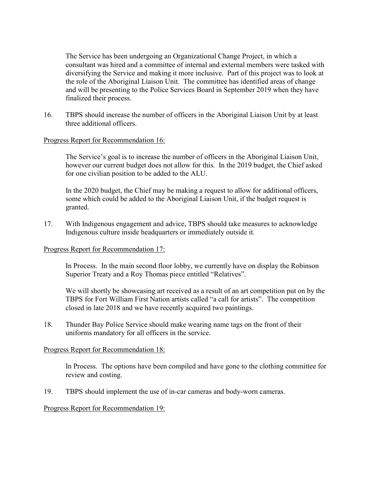The Service has been undergoing an Organizational Change Project, in which a consultant was hired and a committee of internal and external members were tasked with diversifying the Service and making it more inclusive. Part of this project was to look at the role of the Aboriginal Liaison Unit. The committee has identified areas of change and will be presenting to the Police Services Board in September 2019 when they have finalized their process.

16. TBPS should increase the number of officers in the Aboriginal Liaison Unit by at least three additional officers.

## Progress Report for Recommendation 16:

The Service's goal is to increase the number of officers in the Aboriginal Liaison Unit, however our current budget does not allow for this. In the 2019 budget, the Chief asked for one civilian position to be added to the ALU.

In the 2020 budget, the Chief may be making a request to allow for additional officers, some which could be added to the Aboriginal Liaison Unit, if the budget request is granted.

17. With Indigenous engagement and advice, TBPS should take measures to acknowledge Indigenous culture inside headquarters or immediately outside it.

### Progress Report for Recommendation 17:

In Process. In the main second floor lobby, we currently have on display the Robinson Superior Treaty and a Roy Thomas piece entitled "Relatives".

We will shortly be showcasing art received as a result of an art competition put on by the TBPS for Fort William First Nation artists called "a call for artists". The competition closed in late 2018 and we have recently acquired two paintings.

18. Thunder Bay Police Service should make wearing name tags on the front of their uniforms mandatory for all officers in the service.

### Progress Report for Recommendation 18:

In Process. The options have been compiled and have gone to the clothing committee for review and costing.

19. TBPS should implement the use of in-car cameras and body-worn cameras.

### Progress Report for Recommendation 19: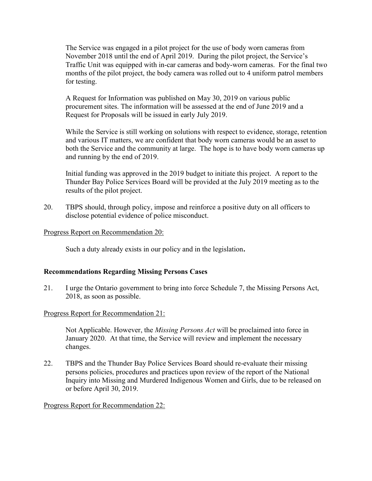The Service was engaged in a pilot project for the use of body worn cameras from November 2018 until the end of April 2019. During the pilot project, the Service's Traffic Unit was equipped with in-car cameras and body-worn cameras. For the final two months of the pilot project, the body camera was rolled out to 4 uniform patrol members for testing.

A Request for Information was published on May 30, 2019 on various public procurement sites. The information will be assessed at the end of June 2019 and a Request for Proposals will be issued in early July 2019.

While the Service is still working on solutions with respect to evidence, storage, retention and various IT matters, we are confident that body worn cameras would be an asset to both the Service and the community at large. The hope is to have body worn cameras up and running by the end of 2019.

Initial funding was approved in the 2019 budget to initiate this project. A report to the Thunder Bay Police Services Board will be provided at the July 2019 meeting as to the results of the pilot project.

20. TBPS should, through policy, impose and reinforce a positive duty on all officers to disclose potential evidence of police misconduct.

## Progress Report on Recommendation 20:

Such a duty already exists in our policy and in the legislation.

### Recommendations Regarding Missing Persons Cases

21. I urge the Ontario government to bring into force Schedule 7, the Missing Persons Act, 2018, as soon as possible.

### Progress Report for Recommendation 21:

Not Applicable. However, the *Missing Persons Act* will be proclaimed into force in January 2020. At that time, the Service will review and implement the necessary changes.

22. TBPS and the Thunder Bay Police Services Board should re-evaluate their missing persons policies, procedures and practices upon review of the report of the National Inquiry into Missing and Murdered Indigenous Women and Girls, due to be released on or before April 30, 2019.

### Progress Report for Recommendation 22: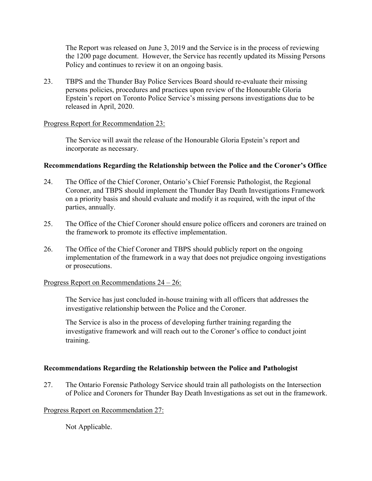The Report was released on June 3, 2019 and the Service is in the process of reviewing the 1200 page document. However, the Service has recently updated its Missing Persons Policy and continues to review it on an ongoing basis.

23. TBPS and the Thunder Bay Police Services Board should re-evaluate their missing persons policies, procedures and practices upon review of the Honourable Gloria Epstein's report on Toronto Police Service's missing persons investigations due to be released in April, 2020.

## Progress Report for Recommendation 23:

The Service will await the release of the Honourable Gloria Epstein's report and incorporate as necessary.

## Recommendations Regarding the Relationship between the Police and the Coroner's Office

- 24. The Office of the Chief Coroner, Ontario's Chief Forensic Pathologist, the Regional Coroner, and TBPS should implement the Thunder Bay Death Investigations Framework on a priority basis and should evaluate and modify it as required, with the input of the parties, annually.
- 25. The Office of the Chief Coroner should ensure police officers and coroners are trained on the framework to promote its effective implementation.
- 26. The Office of the Chief Coroner and TBPS should publicly report on the ongoing implementation of the framework in a way that does not prejudice ongoing investigations or prosecutions.

### Progress Report on Recommendations 24 – 26:

The Service has just concluded in-house training with all officers that addresses the investigative relationship between the Police and the Coroner.

The Service is also in the process of developing further training regarding the investigative framework and will reach out to the Coroner's office to conduct joint training.

# Recommendations Regarding the Relationship between the Police and Pathologist

27. The Ontario Forensic Pathology Service should train all pathologists on the Intersection of Police and Coroners for Thunder Bay Death Investigations as set out in the framework.

### Progress Report on Recommendation 27:

Not Applicable.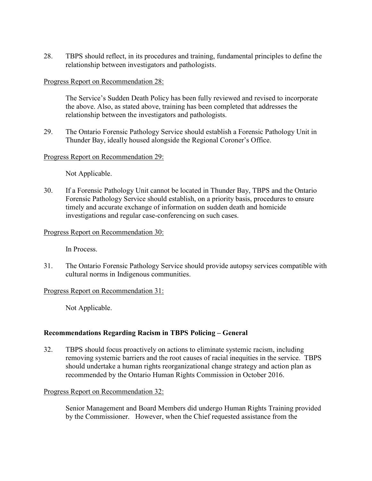28. TBPS should reflect, in its procedures and training, fundamental principles to define the relationship between investigators and pathologists.

### Progress Report on Recommendation 28:

The Service's Sudden Death Policy has been fully reviewed and revised to incorporate the above. Also, as stated above, training has been completed that addresses the relationship between the investigators and pathologists.

29. The Ontario Forensic Pathology Service should establish a Forensic Pathology Unit in Thunder Bay, ideally housed alongside the Regional Coroner's Office.

## Progress Report on Recommendation 29:

Not Applicable.

30. If a Forensic Pathology Unit cannot be located in Thunder Bay, TBPS and the Ontario Forensic Pathology Service should establish, on a priority basis, procedures to ensure timely and accurate exchange of information on sudden death and homicide investigations and regular case-conferencing on such cases.

## Progress Report on Recommendation 30:

In Process.

31. The Ontario Forensic Pathology Service should provide autopsy services compatible with cultural norms in Indigenous communities.

### Progress Report on Recommendation 31:

Not Applicable.

# Recommendations Regarding Racism in TBPS Policing – General

32. TBPS should focus proactively on actions to eliminate systemic racism, including removing systemic barriers and the root causes of racial inequities in the service. TBPS should undertake a human rights reorganizational change strategy and action plan as recommended by the Ontario Human Rights Commission in October 2016.

### Progress Report on Recommendation 32:

Senior Management and Board Members did undergo Human Rights Training provided by the Commissioner. However, when the Chief requested assistance from the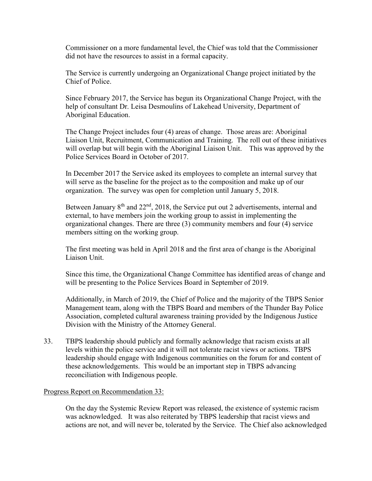Commissioner on a more fundamental level, the Chief was told that the Commissioner did not have the resources to assist in a formal capacity.

The Service is currently undergoing an Organizational Change project initiated by the Chief of Police.

Since February 2017, the Service has begun its Organizational Change Project, with the help of consultant Dr. Leisa Desmoulins of Lakehead University, Department of Aboriginal Education.

The Change Project includes four (4) areas of change. Those areas are: Aboriginal Liaison Unit, Recruitment, Communication and Training. The roll out of these initiatives will overlap but will begin with the Aboriginal Liaison Unit. This was approved by the Police Services Board in October of 2017.

In December 2017 the Service asked its employees to complete an internal survey that will serve as the baseline for the project as to the composition and make up of our organization. The survey was open for completion until January 5, 2018.

Between January  $8<sup>th</sup>$  and  $22<sup>nd</sup>$ ,  $2018$ , the Service put out 2 advertisements, internal and external, to have members join the working group to assist in implementing the organizational changes. There are three (3) community members and four (4) service members sitting on the working group.

The first meeting was held in April 2018 and the first area of change is the Aboriginal Liaison Unit.

Since this time, the Organizational Change Committee has identified areas of change and will be presenting to the Police Services Board in September of 2019.

Additionally, in March of 2019, the Chief of Police and the majority of the TBPS Senior Management team, along with the TBPS Board and members of the Thunder Bay Police Association, completed cultural awareness training provided by the Indigenous Justice Division with the Ministry of the Attorney General.

33. TBPS leadership should publicly and formally acknowledge that racism exists at all levels within the police service and it will not tolerate racist views or actions. TBPS leadership should engage with Indigenous communities on the forum for and content of these acknowledgements. This would be an important step in TBPS advancing reconciliation with Indigenous people.

### Progress Report on Recommendation 33:

On the day the Systemic Review Report was released, the existence of systemic racism was acknowledged. It was also reiterated by TBPS leadership that racist views and actions are not, and will never be, tolerated by the Service. The Chief also acknowledged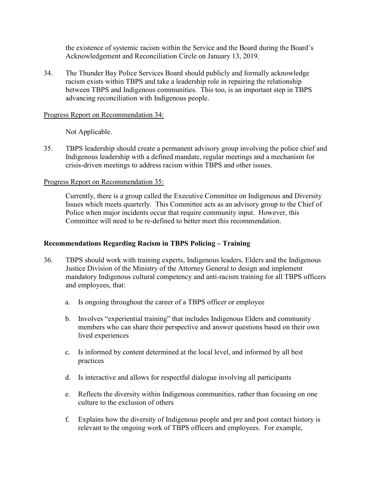the existence of systemic racism within the Service and the Board during the Board's Acknowledgement and Reconciliation Circle on January 13, 2019.

34. The Thunder Bay Police Services Board should publicly and formally acknowledge racism exists within TBPS and take a leadership role in repairing the relationship between TBPS and Indigenous communities. This too, is an important step in TBPS advancing reconciliation with Indigenous people.

### Progress Report on Recommendation 34:

Not Applicable.

35. TBPS leadership should create a permanent advisory group involving the police chief and Indigenous leadership with a defined mandate, regular meetings and a mechanism for crisis-driven meetings to address racism within TBPS and other issues.

## Progress Report on Recommendation 35:

Currently, there is a group called the Executive Committee on Indigenous and Diversity Issues which meets quarterly. This Committee acts as an advisory group to the Chief of Police when major incidents occur that require community input. However, this Committee will need to be re-defined to better meet this recommendation.

# Recommendations Regarding Racism in TBPS Policing – Training

- 36. TBPS should work with training experts, Indigenous leaders, Elders and the Indigenous Justice Division of the Ministry of the Attorney General to design and implement mandatory Indigenous cultural competency and anti-racism training for all TBPS officers and employees, that:
	- a. Is ongoing throughout the career of a TBPS officer or employee
	- b. Involves "experiential training" that includes Indigenous Elders and community members who can share their perspective and answer questions based on their own lived experiences
	- c. Is informed by content determined at the local level, and informed by all best practices
	- d. Is interactive and allows for respectful dialogue involving all participants
	- e. Reflects the diversity within Indigenous communities, rather than focusing on one culture to the exclusion of others
	- f. Explains how the diversity of Indigenous people and pre and post contact history is relevant to the ongoing work of TBPS officers and employees. For example,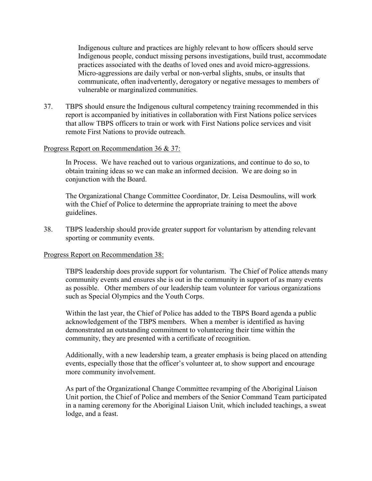Indigenous culture and practices are highly relevant to how officers should serve Indigenous people, conduct missing persons investigations, build trust, accommodate practices associated with the deaths of loved ones and avoid micro-aggressions. Micro-aggressions are daily verbal or non-verbal slights, snubs, or insults that communicate, often inadvertently, derogatory or negative messages to members of vulnerable or marginalized communities.

37. TBPS should ensure the Indigenous cultural competency training recommended in this report is accompanied by initiatives in collaboration with First Nations police services that allow TBPS officers to train or work with First Nations police services and visit remote First Nations to provide outreach.

### Progress Report on Recommendation 36 & 37:

In Process. We have reached out to various organizations, and continue to do so, to obtain training ideas so we can make an informed decision. We are doing so in conjunction with the Board.

The Organizational Change Committee Coordinator, Dr. Leisa Desmoulins, will work with the Chief of Police to determine the appropriate training to meet the above guidelines.

38. TBPS leadership should provide greater support for voluntarism by attending relevant sporting or community events.

#### Progress Report on Recommendation 38:

TBPS leadership does provide support for voluntarism. The Chief of Police attends many community events and ensures she is out in the community in support of as many events as possible. Other members of our leadership team volunteer for various organizations such as Special Olympics and the Youth Corps.

Within the last year, the Chief of Police has added to the TBPS Board agenda a public acknowledgement of the TBPS members. When a member is identified as having demonstrated an outstanding commitment to volunteering their time within the community, they are presented with a certificate of recognition.

Additionally, with a new leadership team, a greater emphasis is being placed on attending events, especially those that the officer's volunteer at, to show support and encourage more community involvement.

As part of the Organizational Change Committee revamping of the Aboriginal Liaison Unit portion, the Chief of Police and members of the Senior Command Team participated in a naming ceremony for the Aboriginal Liaison Unit, which included teachings, a sweat lodge, and a feast.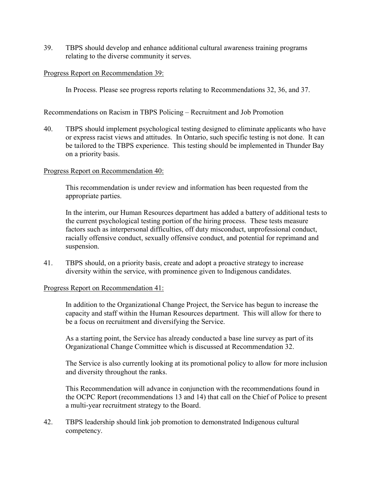39. TBPS should develop and enhance additional cultural awareness training programs relating to the diverse community it serves.

### Progress Report on Recommendation 39:

In Process. Please see progress reports relating to Recommendations 32, 36, and 37.

Recommendations on Racism in TBPS Policing – Recruitment and Job Promotion

40. TBPS should implement psychological testing designed to eliminate applicants who have or express racist views and attitudes. In Ontario, such specific testing is not done. It can be tailored to the TBPS experience. This testing should be implemented in Thunder Bay on a priority basis.

### Progress Report on Recommendation 40:

This recommendation is under review and information has been requested from the appropriate parties.

In the interim, our Human Resources department has added a battery of additional tests to the current psychological testing portion of the hiring process. These tests measure factors such as interpersonal difficulties, off duty misconduct, unprofessional conduct, racially offensive conduct, sexually offensive conduct, and potential for reprimand and suspension.

41. TBPS should, on a priority basis, create and adopt a proactive strategy to increase diversity within the service, with prominence given to Indigenous candidates.

### Progress Report on Recommendation 41:

In addition to the Organizational Change Project, the Service has begun to increase the capacity and staff within the Human Resources department. This will allow for there to be a focus on recruitment and diversifying the Service.

As a starting point, the Service has already conducted a base line survey as part of its Organizational Change Committee which is discussed at Recommendation 32.

The Service is also currently looking at its promotional policy to allow for more inclusion and diversity throughout the ranks.

This Recommendation will advance in conjunction with the recommendations found in the OCPC Report (recommendations 13 and 14) that call on the Chief of Police to present a multi-year recruitment strategy to the Board.

42. TBPS leadership should link job promotion to demonstrated Indigenous cultural competency.